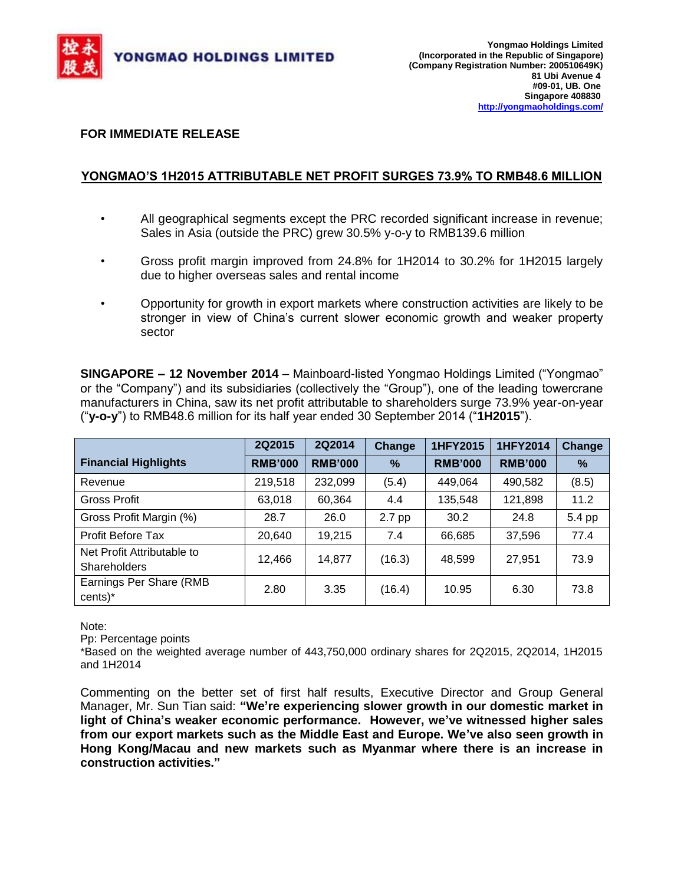

## **FOR IMMEDIATE RELEASE**

# **YONGMAO'S 1H2015 ATTRIBUTABLE NET PROFIT SURGES 73.9% TO RMB48.6 MILLION**

- All geographical segments except the PRC recorded significant increase in revenue; Sales in Asia (outside the PRC) grew 30.5% y-o-y to RMB139.6 million
- Gross profit margin improved from 24.8% for 1H2014 to 30.2% for 1H2015 largely due to higher overseas sales and rental income
- Opportunity for growth in export markets where construction activities are likely to be stronger in view of China's current slower economic growth and weaker property sector

**SINGAPORE – 12 November 2014** – Mainboard-listed Yongmao Holdings Limited ("Yongmao" or the "Company") and its subsidiaries (collectively the "Group"), one of the leading towercrane manufacturers in China, saw its net profit attributable to shareholders surge 73.9% year-on-year ("**y-o-y**") to RMB48.6 million for its half year ended 30 September 2014 ("**1H2015**").

|                                                   | 2Q2015         | 2Q2014         | Change        | 1HFY2015       | 1HFY2014       | <b>Change</b> |
|---------------------------------------------------|----------------|----------------|---------------|----------------|----------------|---------------|
| <b>Financial Highlights</b>                       | <b>RMB'000</b> | <b>RMB'000</b> | $\frac{9}{6}$ | <b>RMB'000</b> | <b>RMB'000</b> | $\%$          |
| Revenue                                           | 219,518        | 232,099        | (5.4)         | 449.064        | 490,582        | (8.5)         |
| Gross Profit                                      | 63,018         | 60,364         | 4.4           | 135,548        | 121,898        | 11.2          |
| Gross Profit Margin (%)                           | 28.7           | 26.0           | 2.7 pp        | 30.2           | 24.8           | 5.4 pp        |
| <b>Profit Before Tax</b>                          | 20,640         | 19,215         | 7.4           | 66,685         | 37,596         | 77.4          |
| Net Profit Attributable to<br><b>Shareholders</b> | 12,466         | 14,877         | (16.3)        | 48,599         | 27,951         | 73.9          |
| Earnings Per Share (RMB<br>cents)*                | 2.80           | 3.35           | (16.4)        | 10.95          | 6.30           | 73.8          |

Note:

Pp: Percentage points

\*Based on the weighted average number of 443,750,000 ordinary shares for 2Q2015, 2Q2014, 1H2015 and 1H2014

Commenting on the better set of first half results, Executive Director and Group General Manager, Mr. Sun Tian said: **"We're experiencing slower growth in our domestic market in light of China's weaker economic performance. However, we've witnessed higher sales from our export markets such as the Middle East and Europe. We've also seen growth in Hong Kong/Macau and new markets such as Myanmar where there is an increase in construction activities."**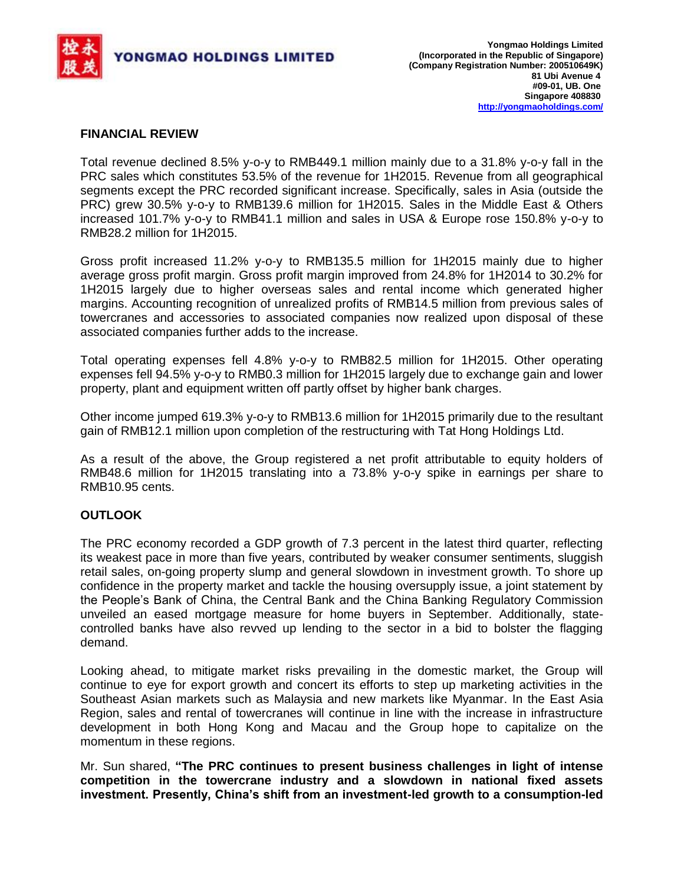

### **FINANCIAL REVIEW**

Total revenue declined 8.5% y-o-y to RMB449.1 million mainly due to a 31.8% y-o-y fall in the PRC sales which constitutes 53.5% of the revenue for 1H2015. Revenue from all geographical segments except the PRC recorded significant increase. Specifically, sales in Asia (outside the PRC) grew 30.5% y-o-y to RMB139.6 million for 1H2015. Sales in the Middle East & Others increased 101.7% y-o-y to RMB41.1 million and sales in USA & Europe rose 150.8% y-o-y to RMB28.2 million for 1H2015.

Gross profit increased 11.2% y-o-y to RMB135.5 million for 1H2015 mainly due to higher average gross profit margin. Gross profit margin improved from 24.8% for 1H2014 to 30.2% for 1H2015 largely due to higher overseas sales and rental income which generated higher margins. Accounting recognition of unrealized profits of RMB14.5 million from previous sales of towercranes and accessories to associated companies now realized upon disposal of these associated companies further adds to the increase.

Total operating expenses fell 4.8% y-o-y to RMB82.5 million for 1H2015. Other operating expenses fell 94.5% y-o-y to RMB0.3 million for 1H2015 largely due to exchange gain and lower property, plant and equipment written off partly offset by higher bank charges.

Other income jumped 619.3% y-o-y to RMB13.6 million for 1H2015 primarily due to the resultant gain of RMB12.1 million upon completion of the restructuring with Tat Hong Holdings Ltd.

As a result of the above, the Group registered a net profit attributable to equity holders of RMB48.6 million for 1H2015 translating into a 73.8% y-o-y spike in earnings per share to RMB10.95 cents.

## **OUTLOOK**

The PRC economy recorded a GDP growth of 7.3 percent in the latest third quarter, reflecting its weakest pace in more than five years, contributed by weaker consumer sentiments, sluggish retail sales, on-going property slump and general slowdown in investment growth. To shore up confidence in the property market and tackle the housing oversupply issue, a joint statement by the People's Bank of China, the Central Bank and the China Banking Regulatory Commission unveiled an eased mortgage measure for home buyers in September. Additionally, statecontrolled banks have also revved up lending to the sector in a bid to bolster the flagging demand.

Looking ahead, to mitigate market risks prevailing in the domestic market, the Group will continue to eye for export growth and concert its efforts to step up marketing activities in the Southeast Asian markets such as Malaysia and new markets like Myanmar. In the East Asia Region, sales and rental of towercranes will continue in line with the increase in infrastructure development in both Hong Kong and Macau and the Group hope to capitalize on the momentum in these regions.

Mr. Sun shared, **"The PRC continues to present business challenges in light of intense competition in the towercrane industry and a slowdown in national fixed assets investment. Presently, China's shift from an investment-led growth to a consumption-led**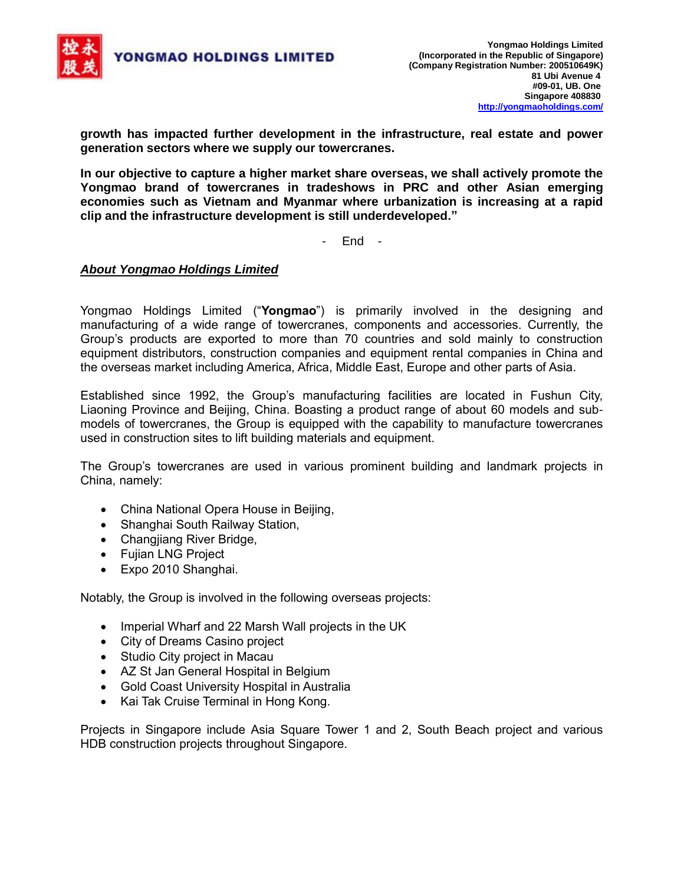

**growth has impacted further development in the infrastructure, real estate and power generation sectors where we supply our towercranes.** 

**In our objective to capture a higher market share overseas, we shall actively promote the Yongmao brand of towercranes in tradeshows in PRC and other Asian emerging economies such as Vietnam and Myanmar where urbanization is increasing at a rapid clip and the infrastructure development is still underdeveloped."**

- End -

### *About Yongmao Holdings Limited*

Yongmao Holdings Limited ("**Yongmao**") is primarily involved in the designing and manufacturing of a wide range of towercranes, components and accessories. Currently, the Group's products are exported to more than 70 countries and sold mainly to construction equipment distributors, construction companies and equipment rental companies in China and the overseas market including America, Africa, Middle East, Europe and other parts of Asia.

Established since 1992, the Group's manufacturing facilities are located in Fushun City, Liaoning Province and Beijing, China. Boasting a product range of about 60 models and submodels of towercranes, the Group is equipped with the capability to manufacture towercranes used in construction sites to lift building materials and equipment.

The Group's towercranes are used in various prominent building and landmark projects in China, namely:

- China National Opera House in Beijing,
- Shanghai South Railway Station,
- Changjiang River Bridge,
- Fujian LNG Project
- Expo 2010 Shanghai.

Notably, the Group is involved in the following overseas projects:

- Imperial Wharf and 22 Marsh Wall projects in the UK
- City of Dreams Casino project
- Studio City project in Macau
- AZ St Jan General Hospital in Belgium
- Gold Coast University Hospital in Australia
- Kai Tak Cruise Terminal in Hong Kong.

Projects in Singapore include Asia Square Tower 1 and 2, South Beach project and various HDB construction projects throughout Singapore.